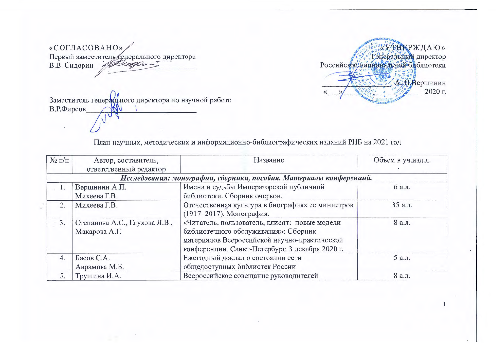«СОГЛАСОВАНО» Первый заместитель енерального директора<br>В.В. Сидорин дело в сороне



Заместитель генерального директора по научной работе В.Р.Фирсов

План научных, методических и информационно-библиографических изданий РНБ на 2021 год

| $\mathcal{N}$ <sup>0</sup> π/π | Автор, составитель,                                                 | Название                                         | Объем в уч.изд.л. |  |  |  |
|--------------------------------|---------------------------------------------------------------------|--------------------------------------------------|-------------------|--|--|--|
|                                | ответственный редактор                                              |                                                  |                   |  |  |  |
|                                | Исследования: монографии, сборники, пособия. Материалы конференций. |                                                  |                   |  |  |  |
| $\mathbf{1}$                   | Вершинин А.П.                                                       | Имена и судьбы Императорской публичной           | 6 а.л.            |  |  |  |
|                                | Михеева Г.В.                                                        | библиотеки. Сборник очерков.                     |                   |  |  |  |
| 2.                             | Михеева Г.В.                                                        | Отечественная культура в биографиях ее министров | 35 а.л.           |  |  |  |
|                                |                                                                     | (1917-2017). Монография.                         |                   |  |  |  |
| 3.                             | Степанова А.С., Глухова Л.В.,                                       | «Читатель, пользователь, клиент: новые модели    | 8 а.л.            |  |  |  |
|                                | Макарова А.Г.                                                       | библиотечного обслуживания»: Сборник             |                   |  |  |  |
|                                |                                                                     | материалов Всероссийской научно-практической     |                   |  |  |  |
|                                |                                                                     | конференции. Санкт-Петербург. 3 декабря 2020 г.  |                   |  |  |  |
| 4.                             | Басов С.А.                                                          | Ежегодный доклад о состоянии сети                | 5 а.л.            |  |  |  |
|                                | Аврамова М.Б.                                                       | общедоступных библиотек России                   |                   |  |  |  |
| 5.                             | Трушина И.А.                                                        | Всероссийское совещание руководителей            | 8 а.л.            |  |  |  |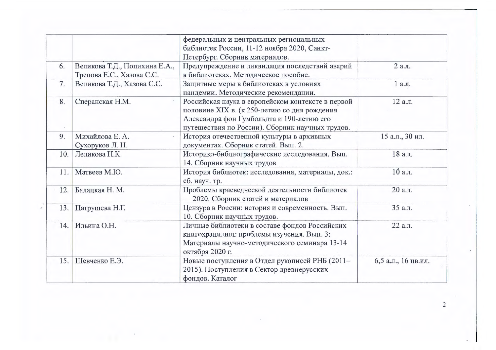|     |                                                            | федеральных и центральных региональных<br>библиотек России, 11-12 ноября 2020, Санкт-<br>Петербург. Сборник материалов.                                                                           |                     |
|-----|------------------------------------------------------------|---------------------------------------------------------------------------------------------------------------------------------------------------------------------------------------------------|---------------------|
| 6.  | Великова Т.Д., Попихина Е.А.,<br>Трепова Е.С., Хазова С.С. | Предупреждение и ликвидация последствий аварий<br>в библиотеках. Методическое пособие.                                                                                                            | 2 а.л.              |
| 7.  | Великова Т.Д., Хазова С.С.                                 | Защитные меры в библиотеках в условиях<br>пандемии. Методические рекомендации.                                                                                                                    | 1 а.л.              |
| 8.  | Сперанская Н.М.                                            | Российская наука в европейском контексте в первой<br>половине XIX в. (к 250-летию со дня рождения<br>Александра фон Гумбольдта и 190-летию его<br>путешествия по России). Сборник научных трудов. | 12 а.л.             |
| 9.  | Михайлова Е. А.<br>Сухоруков Л. Н.                         | История отечественной культуры в архивных<br>документах. Сборник статей. Вып. 2.                                                                                                                  | 15 а.л., 30 ил.     |
| 10. | Леликова Н.К.                                              | Историко-библиографические исследования. Вып.<br>14. Сборник научных трудов                                                                                                                       | 18 а.л.             |
| 11. | Матвеев М.Ю.                                               | История библиотек: исследования, материалы, док.:<br>сб. науч. тр.                                                                                                                                | 10 а.л.             |
| 12. | Балацкая Н. М.                                             | Проблемы краеведческой деятельности библиотек<br>- 2020. Сборник статей и материалов                                                                                                              | 20 а.л.             |
| 13. | Патрушева Н.Г.                                             | Цензура в России: история и современность. Вып.<br>10. Сборник научных трудов.                                                                                                                    | 35 а.л.             |
| 14. | Ильина О.Н.                                                | Личные библиотеки в составе фондов Российских<br>книгохранилищ: проблемы изучения. Вып. 3:<br>Материалы научно-методического семинара 13-14<br>октября 2020 г.                                    | 22 а.л.             |
| 15. | Шевченко Е.Э.                                              | Новые поступления в Отдел рукописей РНБ (2011-<br>2015). Поступления в Сектор древнерусских<br>фондов. Каталог                                                                                    | 6,5 а.л., 16 цв.ил. |

 $\sim$ 

 $\mathbf{r}$ 

 $\mathcal{L}_{\mathcal{A}}$